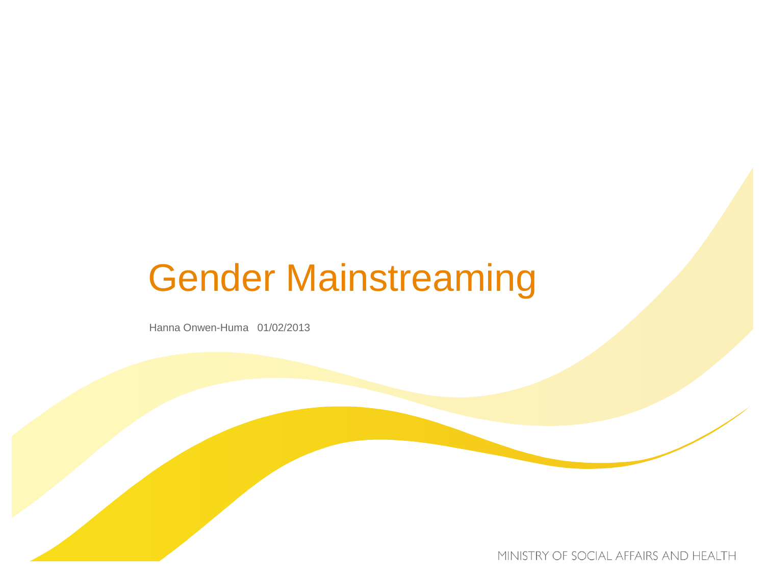# Gender Mainstreaming

Hanna Onwen-Huma 01/02/2013

MINISTRY OF SOCIAL AFFAIRS AND HEALTH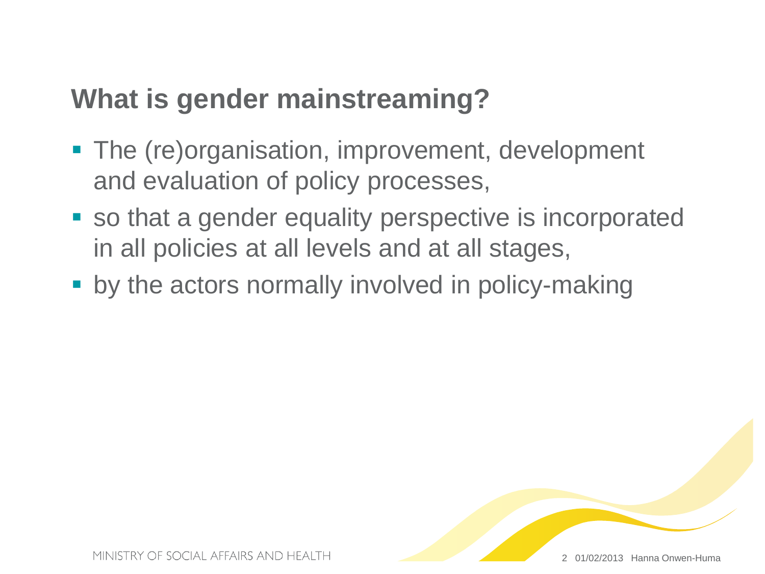#### **What is gender mainstreaming?**

- The (re)organisation, improvement, development and evaluation of policy processes,
- so that a gender equality perspective is incorporated in all policies at all levels and at all stages,
- **by the actors normally involved in policy-making**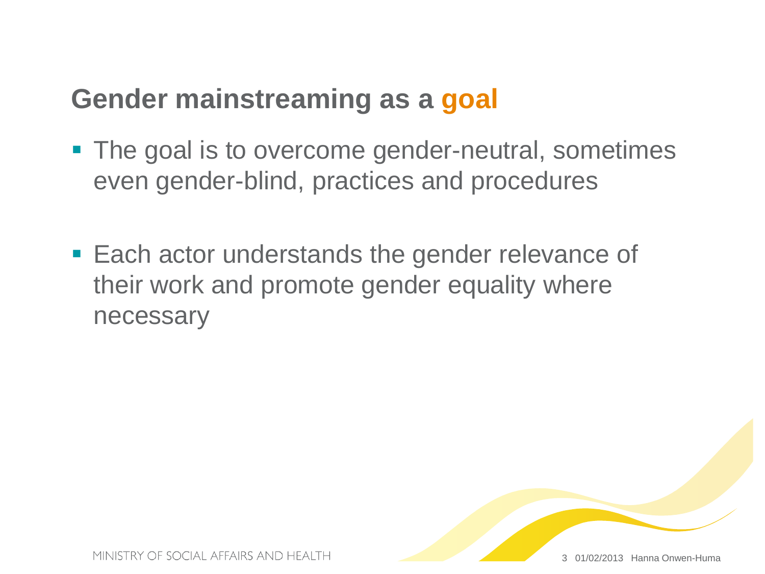#### **Gender mainstreaming as a goal**

- The goal is to overcome gender-neutral, sometimes even gender-blind, practices and procedures
- **Each actor understands the gender relevance of** their work and promote gender equality where necessary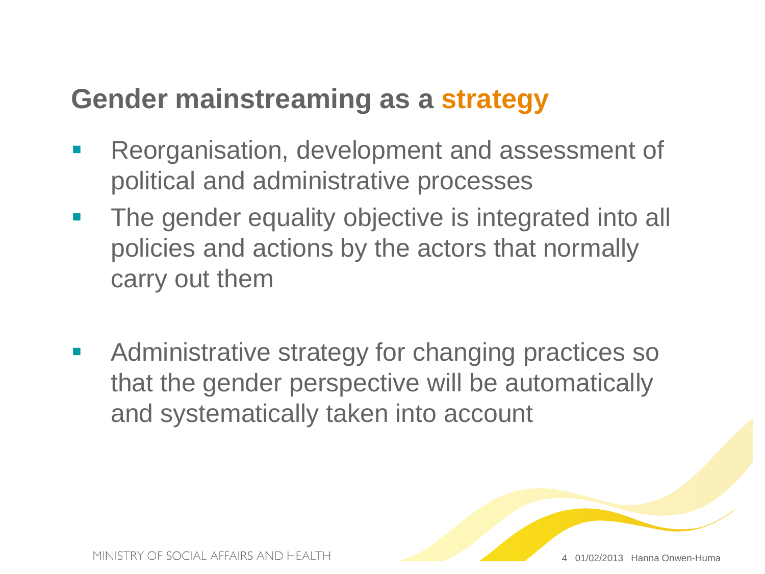#### **Gender mainstreaming as a strategy**

- **Reorganisation, development and assessment of** political and administrative processes
- **The gender equality objective is integrated into all** policies and actions by the actors that normally carry out them
- **Administrative strategy for changing practices so** that the gender perspective will be automatically and systematically taken into account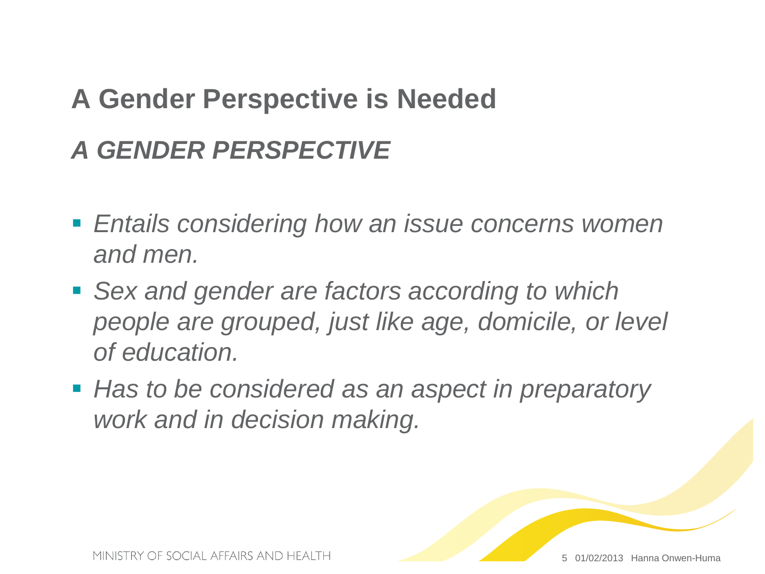#### **A Gender Perspective is Needed**

#### *A GENDER PERSPECTIVE*

- *Entails considering how an issue concerns women and men.*
- *Sex and gender are factors according to which people are grouped, just like age, domicile, or level of education.*
- *Has to be considered as an aspect in preparatory work and in decision making.*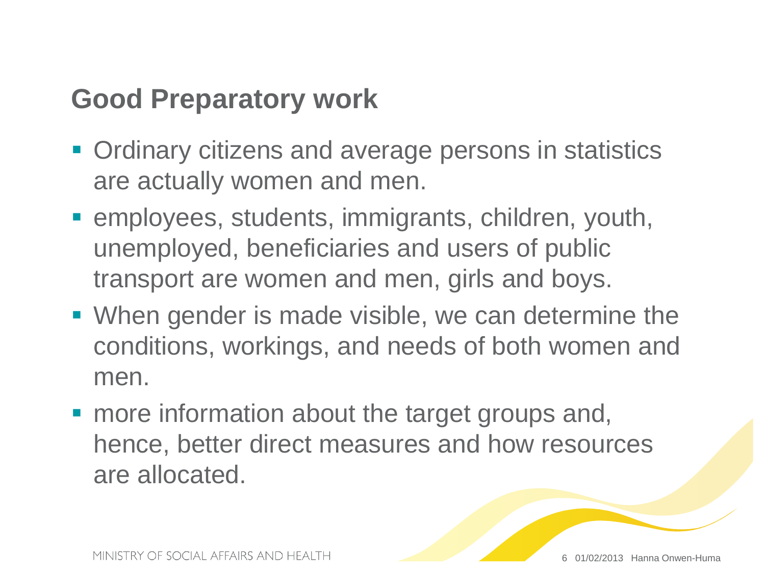#### **Good Preparatory work**

- **Ordinary citizens and average persons in statistics** are actually women and men.
- employees, students, immigrants, children, youth, unemployed, beneficiaries and users of public transport are women and men, girls and boys.
- When gender is made visible, we can determine the conditions, workings, and needs of both women and men.
- **nabout the target groups and,** hence, better direct measures and how resources are allocated.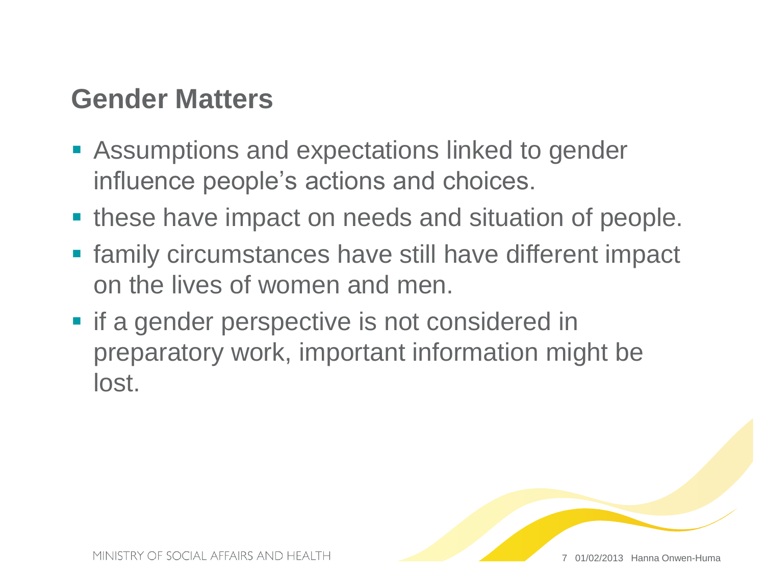#### **Gender Matters**

- **Assumptions and expectations linked to gender** influence people's actions and choices.
- **these have impact on needs and situation of people.**
- **Filter 1 Family circumstances have still have different impact** on the lives of women and men.
- $\blacksquare$  if a gender perspective is not considered in preparatory work, important information might be lost.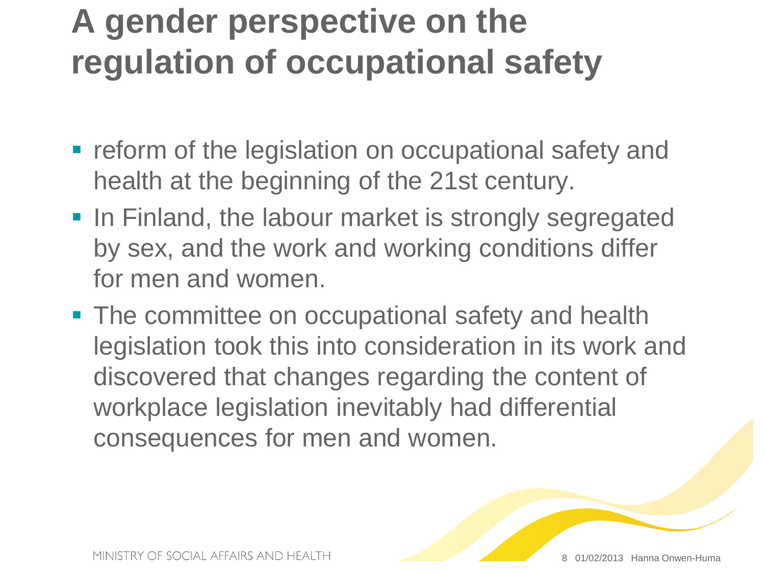## **A gender perspective on the regulation of occupational safety**

- **reform of the legislation on occupational safety and** health at the beginning of the 21st century.
- **In Finland, the labour market is strongly segregated** by sex, and the work and working conditions differ for men and women.
- **The committee on occupational safety and health** legislation took this into consideration in its work and discovered that changes regarding the content of workplace legislation inevitably had differential consequences for men and women.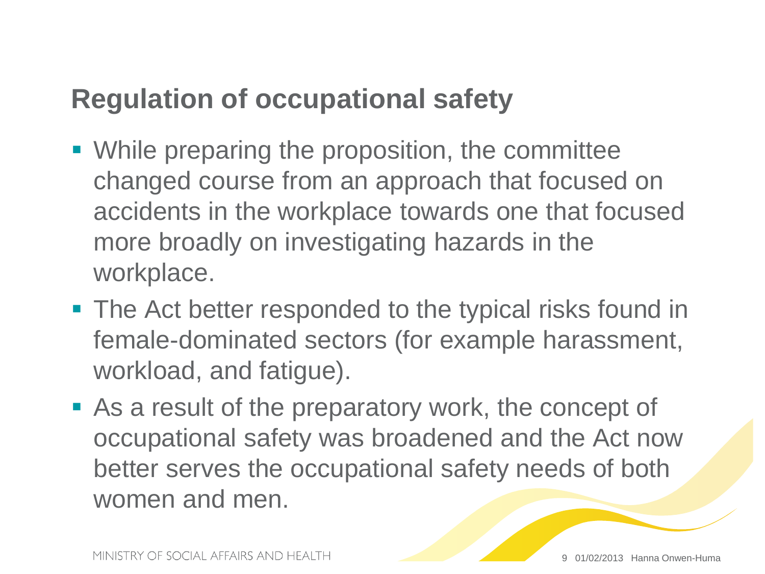#### **Regulation of occupational safety**

- While preparing the proposition, the committee changed course from an approach that focused on accidents in the workplace towards one that focused more broadly on investigating hazards in the workplace.
- The Act better responded to the typical risks found in female-dominated sectors (for example harassment, workload, and fatigue).
- As a result of the preparatory work, the concept of occupational safety was broadened and the Act now better serves the occupational safety needs of both women and men.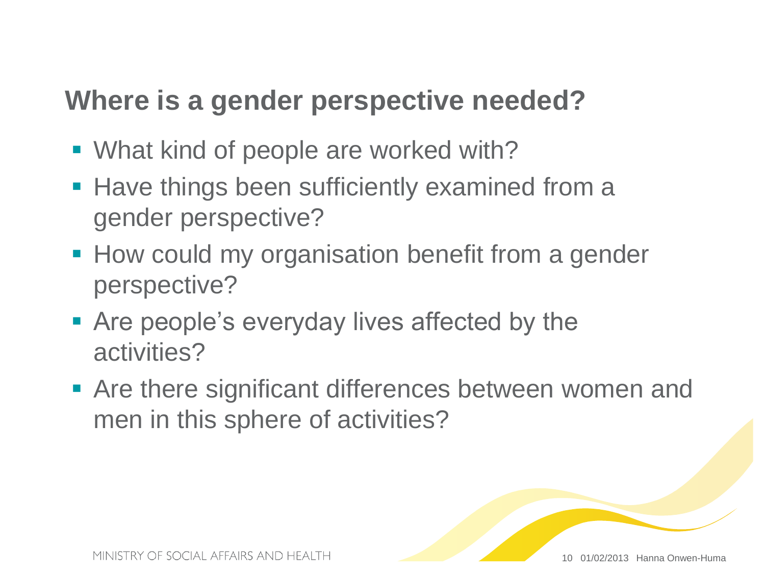#### **Where is a gender perspective needed?**

- What kind of people are worked with?
- **Have things been sufficiently examined from a** gender perspective?
- **How could my organisation benefit from a gender** perspective?
- Are people's everyday lives affected by the activities?
- **Are there significant differences between women and** men in this sphere of activities?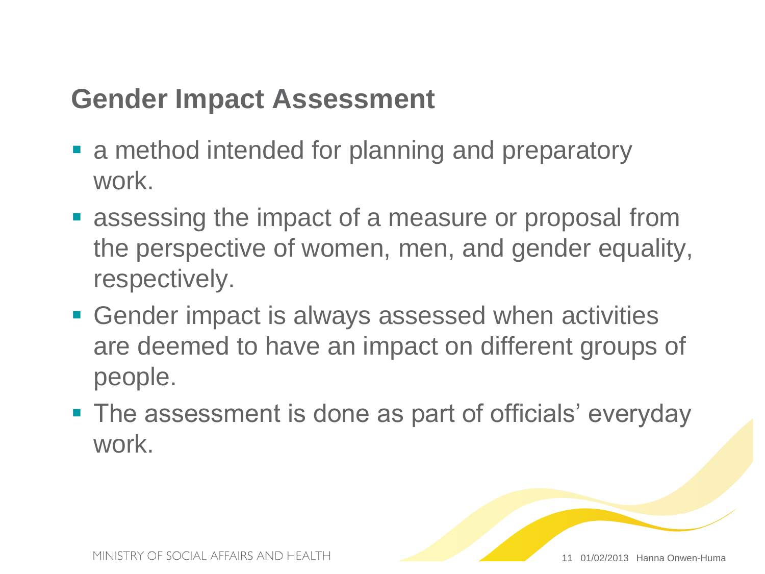#### **Gender Impact Assessment**

- **a** method intended for planning and preparatory work.
- **Example 3 resp.** assessing the impact of a measure or proposal from the perspective of women, men, and gender equality, respectively.
- Gender impact is always assessed when activities are deemed to have an impact on different groups of people.
- The assessment is done as part of officials' everyday work.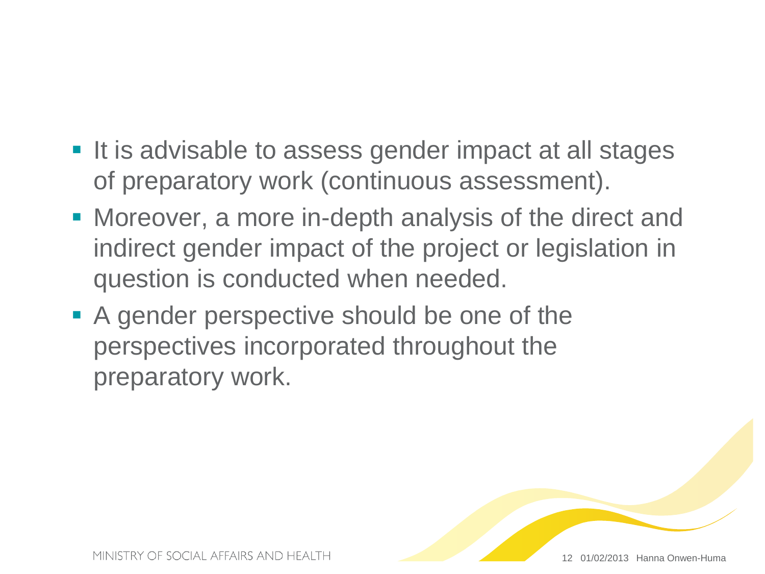- It is advisable to assess gender impact at all stages of preparatory work (continuous assessment).
- Moreover, a more in-depth analysis of the direct and indirect gender impact of the project or legislation in question is conducted when needed.
- A gender perspective should be one of the perspectives incorporated throughout the preparatory work.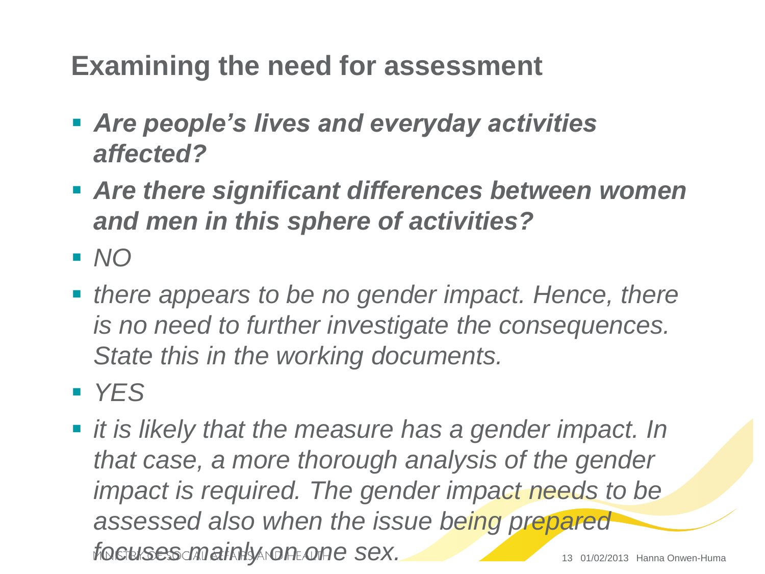#### **Examining the need for assessment**

- *Are people's lives and everyday activities affected?*
- *Are there significant differences between women and men in this sphere of activities?*
- *NO*
- **there appears to be no gender impact. Hence, there** *is no need to further investigate the consequences. State this in the working documents.*
- *YES*
- *it is likely that the measure has a gender impact. In that case, a more thorough analysis of the gender impact is required. The gender impact needs to be assessed also when the issue being prepared focuses mainly on one sex.* 13 01/02/2013 Hanna Onwen-Huma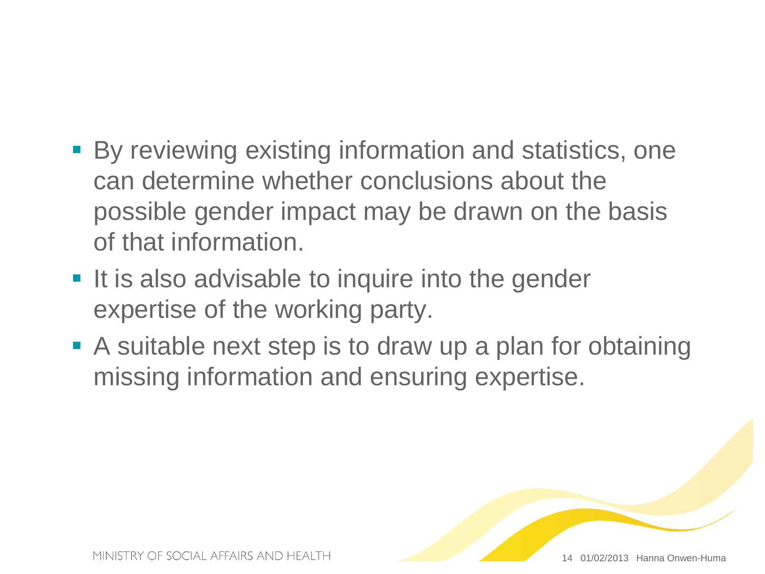- By reviewing existing information and statistics, one can determine whether conclusions about the possible gender impact may be drawn on the basis of that information.
- **If is also advisable to inquire into the gender** expertise of the working party.
- A suitable next step is to draw up a plan for obtaining missing information and ensuring expertise.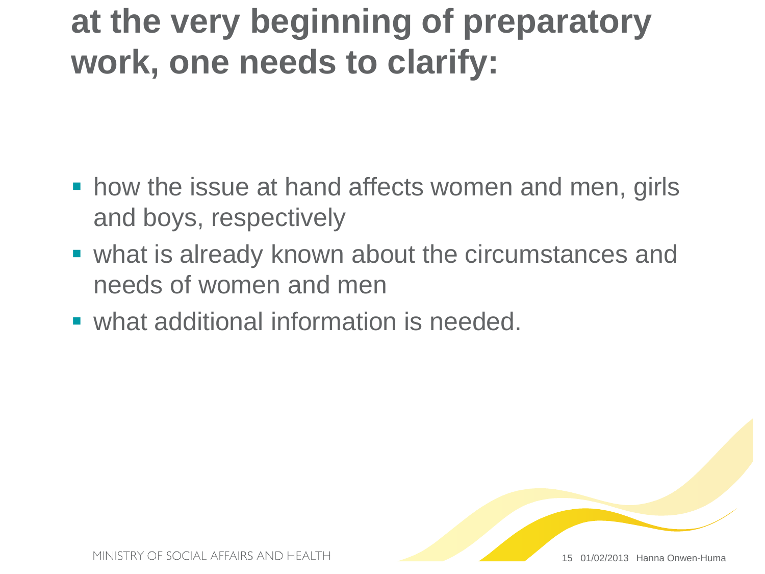### **at the very beginning of preparatory work, one needs to clarify:**

- **how the issue at hand affects women and men, girls** and boys, respectively
- what is already known about the circumstances and needs of women and men
- **what additional information is needed.**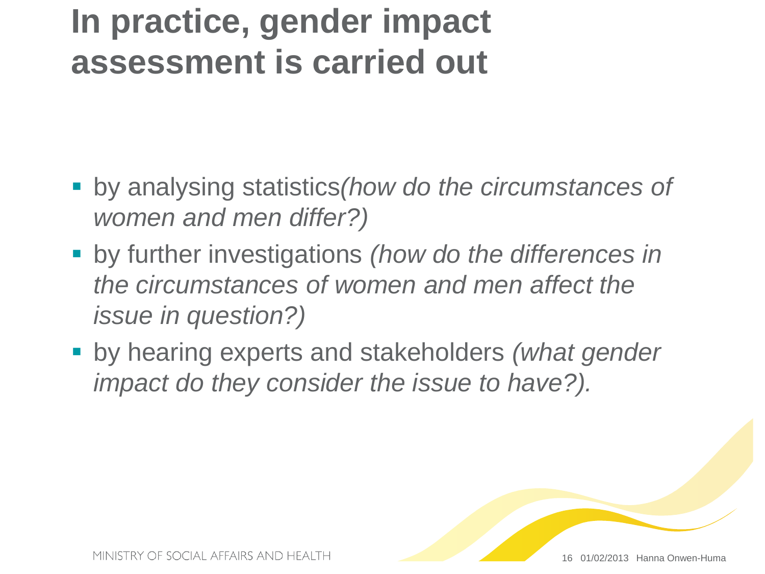### **In practice, gender impact assessment is carried out**

- by analysing statistics*(how do the circumstances of women and men differ?)*
- by further investigations *(how do the differences in the circumstances of women and men affect the issue in question?)*
- by hearing experts and stakeholders *(what gender impact do they consider the issue to have?).*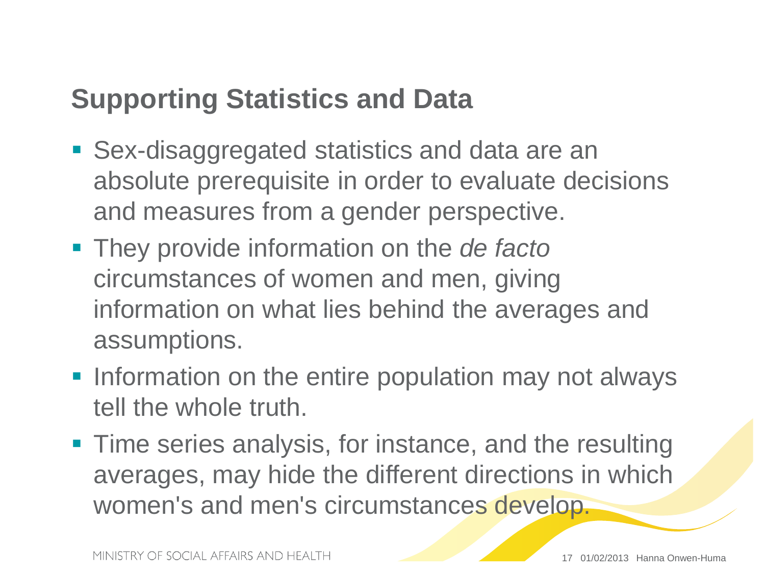#### **Supporting Statistics and Data**

- Sex-disaggregated statistics and data are an absolute prerequisite in order to evaluate decisions and measures from a gender perspective.
- They provide information on the *de facto* circumstances of women and men, giving information on what lies behind the averages and assumptions.
- **-** Information on the entire population may not always tell the whole truth.
- **Time series analysis, for instance, and the resulting** averages, may hide the different directions in which women's and men's circumstances develop.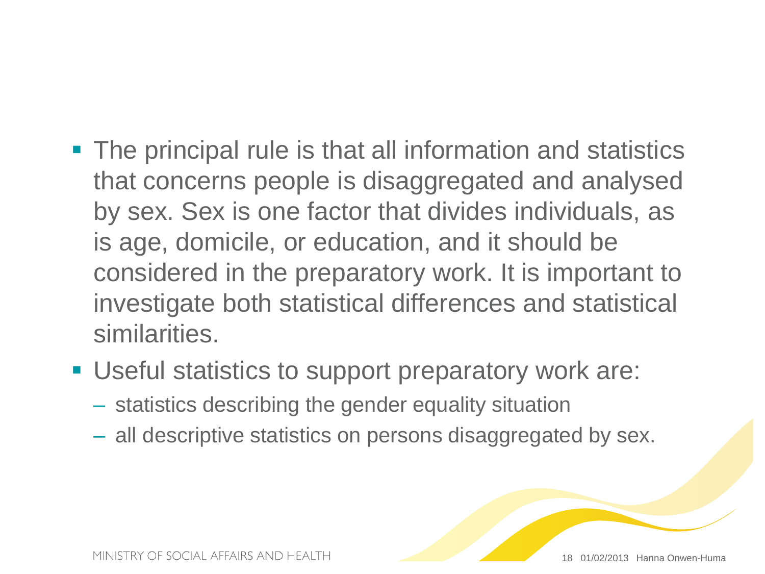- The principal rule is that all information and statistics that concerns people is disaggregated and analysed by sex. Sex is one factor that divides individuals, as is age, domicile, or education, and it should be considered in the preparatory work. It is important to investigate both statistical differences and statistical similarities.
- Useful statistics to support preparatory work are:
	- statistics describing the gender equality situation
	- all descriptive statistics on persons disaggregated by sex.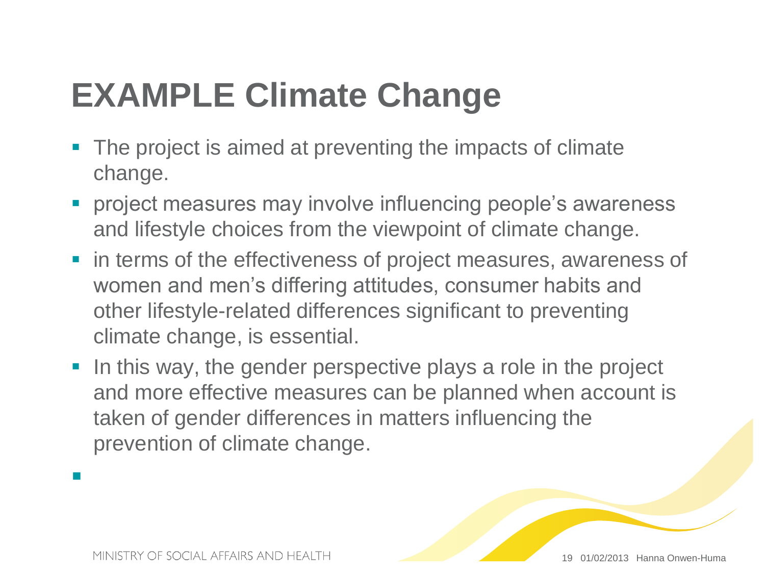## **EXAMPLE Climate Change**

- The project is aimed at preventing the impacts of climate change.
- **Perovect measures may involve influencing people's awareness** and lifestyle choices from the viewpoint of climate change.
- **If** in terms of the effectiveness of project measures, awareness of women and men's differing attitudes, consumer habits and other lifestyle-related differences significant to preventing climate change, is essential.
- In this way, the gender perspective plays a role in the project and more effective measures can be planned when account is taken of gender differences in matters influencing the prevention of climate change.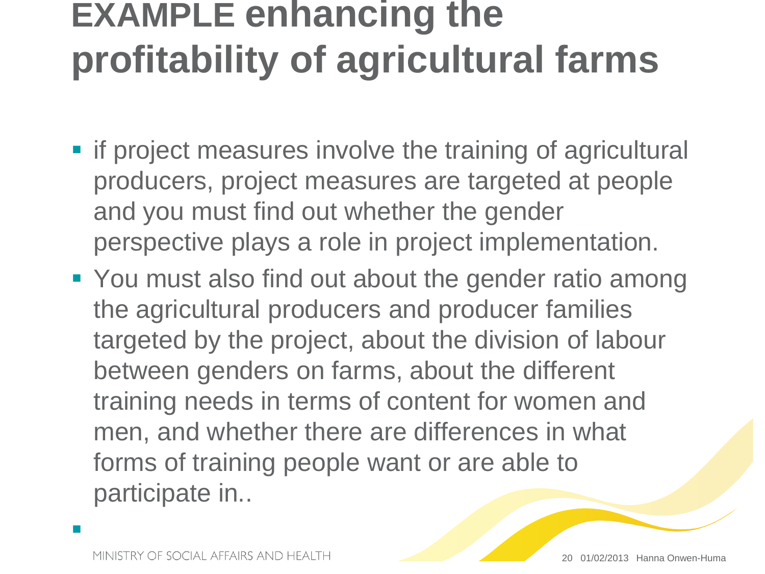# **EXAMPLE enhancing the profitability of agricultural farms**

- **F** if project measures involve the training of agricultural producers, project measures are targeted at people and you must find out whether the gender perspective plays a role in project implementation.
- You must also find out about the gender ratio among the agricultural producers and producer families targeted by the project, about the division of labour between genders on farms, about the different training needs in terms of content for women and men, and whether there are differences in what forms of training people want or are able to participate in..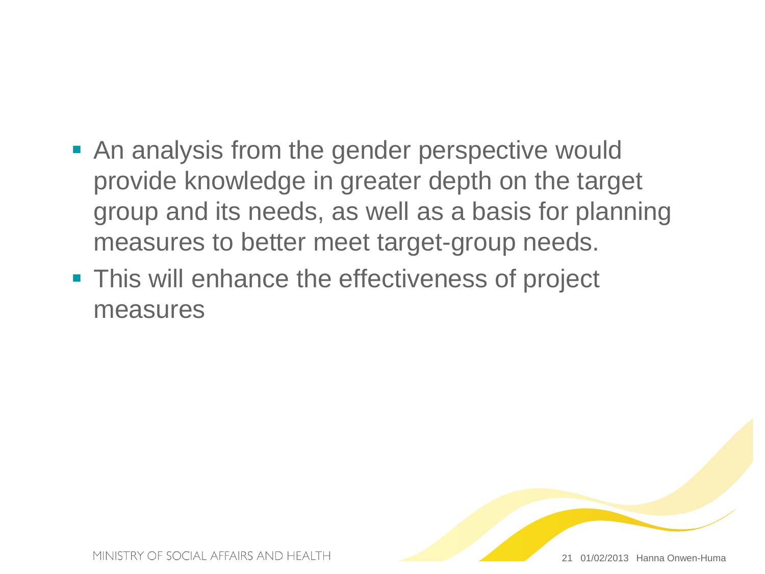- **An analysis from the gender perspective would** provide knowledge in greater depth on the target group and its needs, as well as a basis for planning measures to better meet target-group needs.
- **This will enhance the effectiveness of project** measures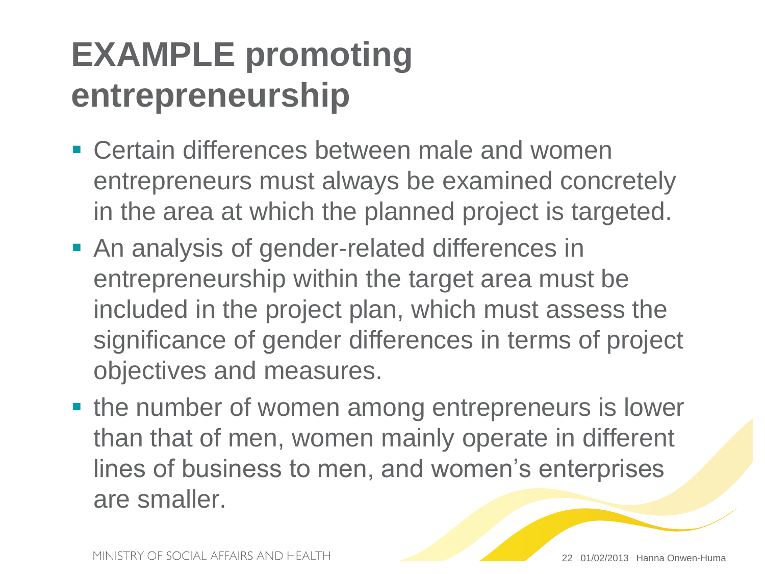## **EXAMPLE promoting entrepreneurship**

- **Example 1** Certain differences between male and women entrepreneurs must always be examined concretely in the area at which the planned project is targeted.
- **An analysis of gender-related differences in** entrepreneurship within the target area must be included in the project plan, which must assess the significance of gender differences in terms of project objectives and measures.
- the number of women among entrepreneurs is lower than that of men, women mainly operate in different lines of business to men, and women's enterprises are smaller.